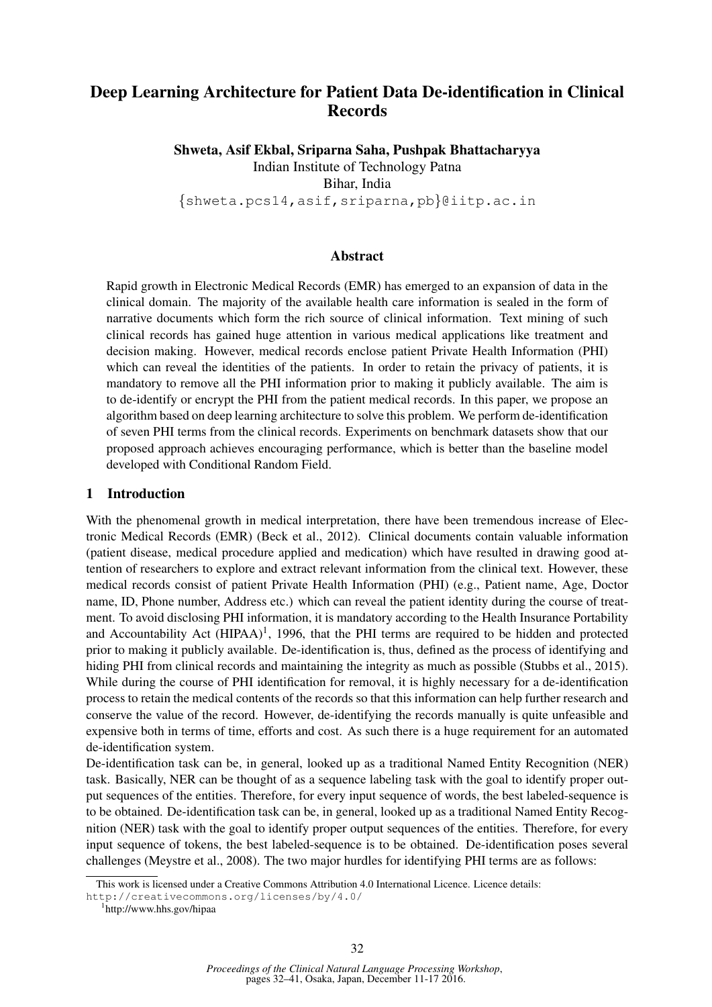# Deep Learning Architecture for Patient Data De-identification in Clinical Records

Shweta, Asif Ekbal, Sriparna Saha, Pushpak Bhattacharyya Indian Institute of Technology Patna Bihar, India

{shweta.pcs14,asif,sriparna,pb}@iitp.ac.in

### Abstract

Rapid growth in Electronic Medical Records (EMR) has emerged to an expansion of data in the clinical domain. The majority of the available health care information is sealed in the form of narrative documents which form the rich source of clinical information. Text mining of such clinical records has gained huge attention in various medical applications like treatment and decision making. However, medical records enclose patient Private Health Information (PHI) which can reveal the identities of the patients. In order to retain the privacy of patients, it is mandatory to remove all the PHI information prior to making it publicly available. The aim is to de-identify or encrypt the PHI from the patient medical records. In this paper, we propose an algorithm based on deep learning architecture to solve this problem. We perform de-identification of seven PHI terms from the clinical records. Experiments on benchmark datasets show that our proposed approach achieves encouraging performance, which is better than the baseline model developed with Conditional Random Field.

### 1 Introduction

With the phenomenal growth in medical interpretation, there have been tremendous increase of Electronic Medical Records (EMR) (Beck et al., 2012). Clinical documents contain valuable information (patient disease, medical procedure applied and medication) which have resulted in drawing good attention of researchers to explore and extract relevant information from the clinical text. However, these medical records consist of patient Private Health Information (PHI) (e.g., Patient name, Age, Doctor name, ID, Phone number, Address etc.) which can reveal the patient identity during the course of treatment. To avoid disclosing PHI information, it is mandatory according to the Health Insurance Portability and Accountability Act  $(HIPAA)^1$ , 1996, that the PHI terms are required to be hidden and protected prior to making it publicly available. De-identification is, thus, defined as the process of identifying and hiding PHI from clinical records and maintaining the integrity as much as possible (Stubbs et al., 2015). While during the course of PHI identification for removal, it is highly necessary for a de-identification process to retain the medical contents of the records so that this information can help further research and conserve the value of the record. However, de-identifying the records manually is quite unfeasible and expensive both in terms of time, efforts and cost. As such there is a huge requirement for an automated de-identification system.

De-identification task can be, in general, looked up as a traditional Named Entity Recognition (NER) task. Basically, NER can be thought of as a sequence labeling task with the goal to identify proper output sequences of the entities. Therefore, for every input sequence of words, the best labeled-sequence is to be obtained. De-identification task can be, in general, looked up as a traditional Named Entity Recognition (NER) task with the goal to identify proper output sequences of the entities. Therefore, for every input sequence of tokens, the best labeled-sequence is to be obtained. De-identification poses several challenges (Meystre et al., 2008). The two major hurdles for identifying PHI terms are as follows:

This work is licensed under a Creative Commons Attribution 4.0 International Licence. Licence details:

http://creativecommons.org/licenses/by/4.0/

<sup>1</sup> http://www.hhs.gov/hipaa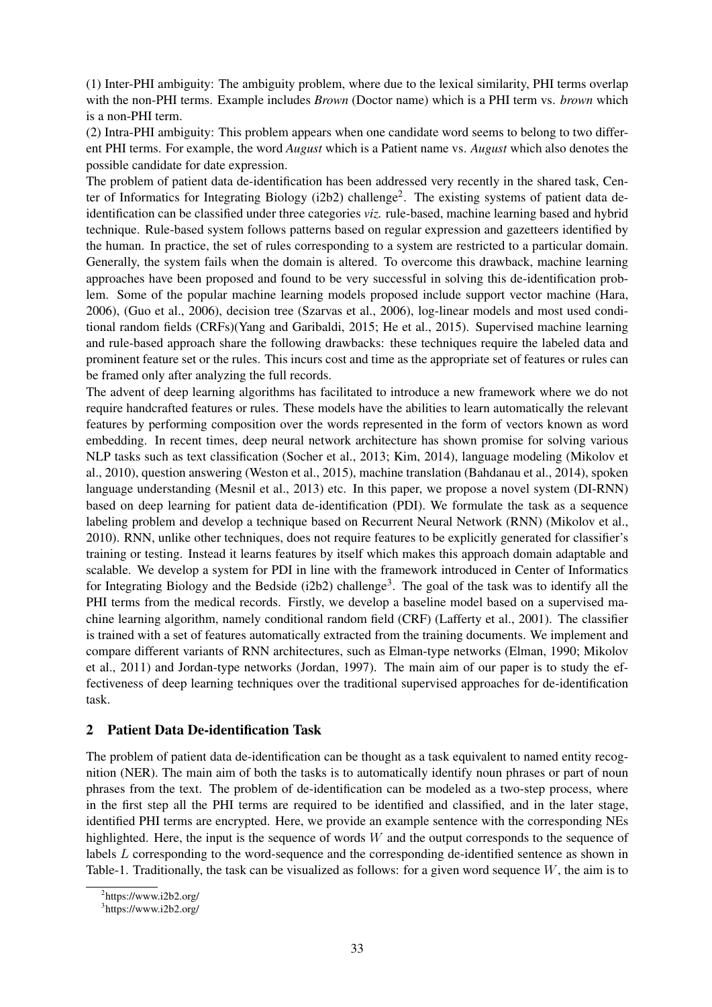(1) Inter-PHI ambiguity: The ambiguity problem, where due to the lexical similarity, PHI terms overlap with the non-PHI terms. Example includes *Brown* (Doctor name) which is a PHI term vs. *brown* which is a non-PHI term.

(2) Intra-PHI ambiguity: This problem appears when one candidate word seems to belong to two different PHI terms. For example, the word *August* which is a Patient name vs. *August* which also denotes the possible candidate for date expression.

The problem of patient data de-identification has been addressed very recently in the shared task, Center of Informatics for Integrating Biology (i2b2) challenge<sup>2</sup>. The existing systems of patient data deidentification can be classified under three categories *viz.* rule-based, machine learning based and hybrid technique. Rule-based system follows patterns based on regular expression and gazetteers identified by the human. In practice, the set of rules corresponding to a system are restricted to a particular domain. Generally, the system fails when the domain is altered. To overcome this drawback, machine learning approaches have been proposed and found to be very successful in solving this de-identification problem. Some of the popular machine learning models proposed include support vector machine (Hara, 2006), (Guo et al., 2006), decision tree (Szarvas et al., 2006), log-linear models and most used conditional random fields (CRFs)(Yang and Garibaldi, 2015; He et al., 2015). Supervised machine learning and rule-based approach share the following drawbacks: these techniques require the labeled data and prominent feature set or the rules. This incurs cost and time as the appropriate set of features or rules can be framed only after analyzing the full records.

The advent of deep learning algorithms has facilitated to introduce a new framework where we do not require handcrafted features or rules. These models have the abilities to learn automatically the relevant features by performing composition over the words represented in the form of vectors known as word embedding. In recent times, deep neural network architecture has shown promise for solving various NLP tasks such as text classification (Socher et al., 2013; Kim, 2014), language modeling (Mikolov et al., 2010), question answering (Weston et al., 2015), machine translation (Bahdanau et al., 2014), spoken language understanding (Mesnil et al., 2013) etc. In this paper, we propose a novel system (DI-RNN) based on deep learning for patient data de-identification (PDI). We formulate the task as a sequence labeling problem and develop a technique based on Recurrent Neural Network (RNN) (Mikolov et al., 2010). RNN, unlike other techniques, does not require features to be explicitly generated for classifier's training or testing. Instead it learns features by itself which makes this approach domain adaptable and scalable. We develop a system for PDI in line with the framework introduced in Center of Informatics for Integrating Biology and the Bedside (i2b2) challenge<sup>3</sup>. The goal of the task was to identify all the PHI terms from the medical records. Firstly, we develop a baseline model based on a supervised machine learning algorithm, namely conditional random field (CRF) (Lafferty et al., 2001). The classifier is trained with a set of features automatically extracted from the training documents. We implement and compare different variants of RNN architectures, such as Elman-type networks (Elman, 1990; Mikolov et al., 2011) and Jordan-type networks (Jordan, 1997). The main aim of our paper is to study the effectiveness of deep learning techniques over the traditional supervised approaches for de-identification task.

### 2 Patient Data De-identification Task

The problem of patient data de-identification can be thought as a task equivalent to named entity recognition (NER). The main aim of both the tasks is to automatically identify noun phrases or part of noun phrases from the text. The problem of de-identification can be modeled as a two-step process, where in the first step all the PHI terms are required to be identified and classified, and in the later stage, identified PHI terms are encrypted. Here, we provide an example sentence with the corresponding NEs highlighted. Here, the input is the sequence of words  $W$  and the output corresponds to the sequence of labels L corresponding to the word-sequence and the corresponding de-identified sentence as shown in Table-1. Traditionally, the task can be visualized as follows: for a given word sequence  $W$ , the aim is to

<sup>&</sup>lt;sup>2</sup>https://www.i2b2.org/

<sup>&</sup>lt;sup>3</sup>https://www.i2b2.org/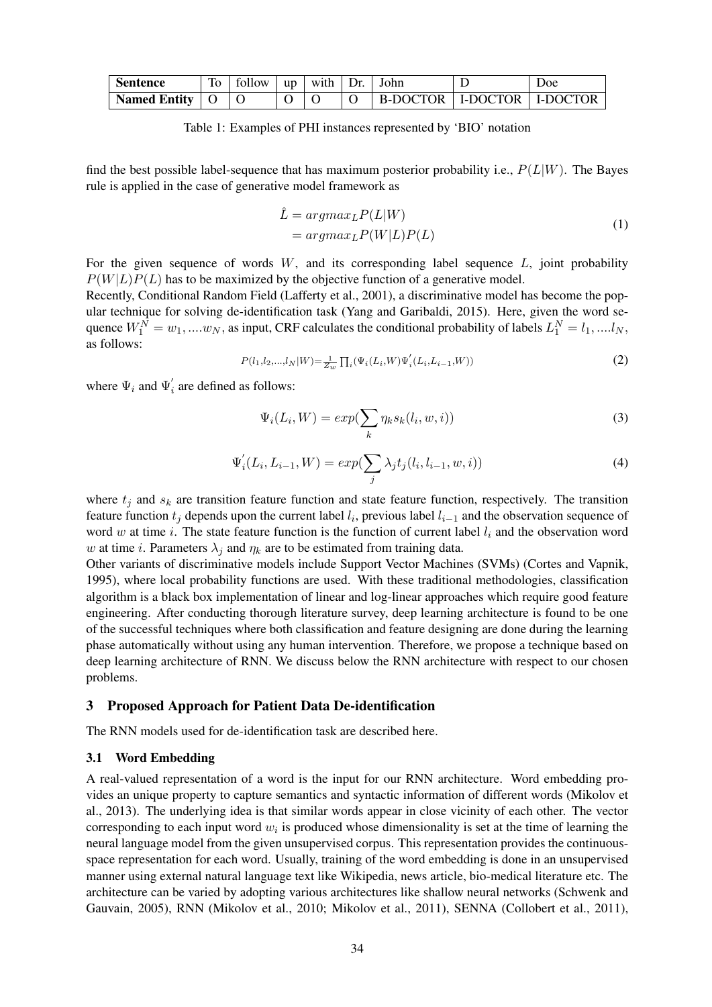| <b>Sentence</b>     | To | follow | $ $ up $ $ | with $Dr.$ | ⊟John                          | <b>Doe</b> |  |
|---------------------|----|--------|------------|------------|--------------------------------|------------|--|
| <b>Named Entity</b> |    |        |            |            | B-DOCTOR   I-DOCTOR   I-DOCTOR |            |  |

Table 1: Examples of PHI instances represented by 'BIO' notation

find the best possible label-sequence that has maximum posterior probability i.e.,  $P(L|W)$ . The Bayes rule is applied in the case of generative model framework as

$$
\hat{L} = argmax_{L} P(L|W) \n= argmax_{L} P(W|L) P(L)
$$
\n(1)

For the given sequence of words  $W$ , and its corresponding label sequence  $L$ , joint probability  $P(W|L)P(L)$  has to be maximized by the objective function of a generative model.

Recently, Conditional Random Field (Lafferty et al., 2001), a discriminative model has become the popular technique for solving de-identification task (Yang and Garibaldi, 2015). Here, given the word sequence  $W_1^N = w_1, \dots w_N$ , as input, CRF calculates the conditional probability of labels  $L_1^N = l_1, \dots l_N$ , as follows:

$$
P(l_1, l_2, \ldots, l_N | W) = \frac{1}{Z_w} \prod_i (\Psi_i(L_i, W) \Psi_i'(L_i, L_{i-1}, W))
$$
\n(2)

where  $\Psi_i$  and  $\Psi'_i$  are defined as follows:

$$
\Psi_i(L_i, W) = exp(\sum_k \eta_k s_k(l_i, w, i))
$$
\n(3)

$$
\Psi'_i(L_i, L_{i-1}, W) = exp(\sum_j \lambda_j t_j(l_i, l_{i-1}, w, i))
$$
\n(4)

where  $t_j$  and  $s_k$  are transition feature function and state feature function, respectively. The transition feature function  $t_j$  depends upon the current label  $l_i$ , previous label  $l_{i-1}$  and the observation sequence of word w at time i. The state feature function is the function of current label  $l_i$  and the observation word w at time *i*. Parameters  $\lambda_i$  and  $\eta_k$  are to be estimated from training data.

Other variants of discriminative models include Support Vector Machines (SVMs) (Cortes and Vapnik, 1995), where local probability functions are used. With these traditional methodologies, classification algorithm is a black box implementation of linear and log-linear approaches which require good feature engineering. After conducting thorough literature survey, deep learning architecture is found to be one of the successful techniques where both classification and feature designing are done during the learning phase automatically without using any human intervention. Therefore, we propose a technique based on deep learning architecture of RNN. We discuss below the RNN architecture with respect to our chosen problems.

### 3 Proposed Approach for Patient Data De-identification

The RNN models used for de-identification task are described here.

#### 3.1 Word Embedding

A real-valued representation of a word is the input for our RNN architecture. Word embedding provides an unique property to capture semantics and syntactic information of different words (Mikolov et al., 2013). The underlying idea is that similar words appear in close vicinity of each other. The vector corresponding to each input word  $w_i$  is produced whose dimensionality is set at the time of learning the neural language model from the given unsupervised corpus. This representation provides the continuousspace representation for each word. Usually, training of the word embedding is done in an unsupervised manner using external natural language text like Wikipedia, news article, bio-medical literature etc. The architecture can be varied by adopting various architectures like shallow neural networks (Schwenk and Gauvain, 2005), RNN (Mikolov et al., 2010; Mikolov et al., 2011), SENNA (Collobert et al., 2011),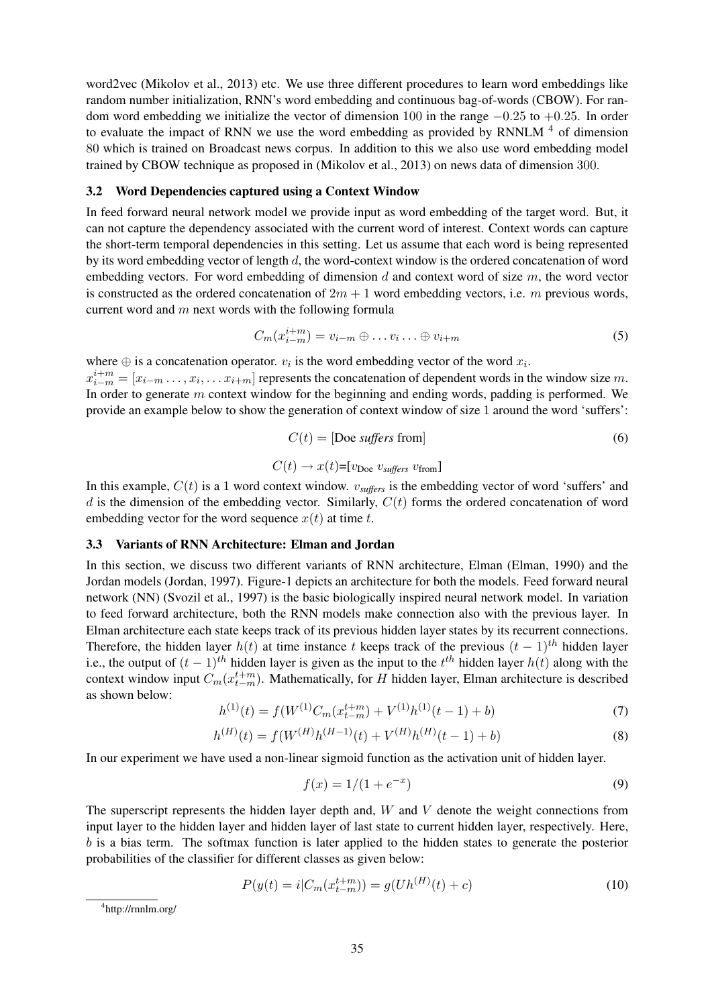word2vec (Mikolov et al., 2013) etc. We use three different procedures to learn word embeddings like random number initialization, RNN's word embedding and continuous bag-of-words (CBOW). For random word embedding we initialize the vector of dimension 100 in the range  $-0.25$  to  $+0.25$ . In order to evaluate the impact of RNN we use the word embedding as provided by RNNLM<sup>4</sup> of dimension 80 which is trained on Broadcast news corpus. In addition to this we also use word embedding model trained by CBOW technique as proposed in (Mikolov et al., 2013) on news data of dimension 300.

#### 3.2 Word Dependencies captured using a Context Window

In feed forward neural network model we provide input as word embedding of the target word. But, it can not capture the dependency associated with the current word of interest. Context words can capture the short-term temporal dependencies in this setting. Let us assume that each word is being represented by its word embedding vector of length d, the word-context window is the ordered concatenation of word embedding vectors. For word embedding of dimension  $d$  and context word of size  $m$ , the word vector is constructed as the ordered concatenation of  $2m + 1$  word embedding vectors, i.e. m previous words, current word and  $m$  next words with the following formula

$$
C_m(x_{i-m}^{i+m}) = v_{i-m} \oplus \dots v_i \dots \oplus v_{i+m} \tag{5}
$$

where  $\oplus$  is a concatenation operator.  $v_i$  is the word embedding vector of the word  $x_i$ .  $x_{i-m}^{i+m} = [x_{i-m} \dots, x_i, \dots x_{i+m}]$  represents the concatenation of dependent words in the window size m. In order to generate  $m$  context window for the beginning and ending words, padding is performed. We provide an example below to show the generation of context window of size 1 around the word 'suffers':

$$
C(t) = [Doe\;suffers\;from]
$$
 (6)

$$
C(t) \rightarrow x(t)
$$
=[ $v_{\text{Doe}} v_{\text{suffix}} v_{\text{from}}$ ]

In this example,  $C(t)$  is a 1 word context window.  $v_{\text{suffix}}$  is the embedding vector of word 'suffers' and  $d$  is the dimension of the embedding vector. Similarly,  $C(t)$  forms the ordered concatenation of word embedding vector for the word sequence  $x(t)$  at time t.

### 3.3 Variants of RNN Architecture: Elman and Jordan

In this section, we discuss two different variants of RNN architecture, Elman (Elman, 1990) and the Jordan models (Jordan, 1997). Figure-1 depicts an architecture for both the models. Feed forward neural network (NN) (Svozil et al., 1997) is the basic biologically inspired neural network model. In variation to feed forward architecture, both the RNN models make connection also with the previous layer. In Elman architecture each state keeps track of its previous hidden layer states by its recurrent connections. Therefore, the hidden layer  $h(t)$  at time instance t keeps track of the previous  $(t - 1)^{th}$  hidden layer i.e., the output of  $(t-1)$ <sup>th</sup> hidden layer is given as the input to the  $t<sup>th</sup>$  hidden layer  $h(t)$  along with the context window input  $C_m(x_{t-m}^{t+m})$ . Mathematically, for H hidden layer, Elman architecture is described as shown below:

$$
h^{(1)}(t) = f(W^{(1)}C_m(x_{t-m}^{t+m}) + V^{(1)}h^{(1)}(t-1) + b)
$$
\n<sup>(7)</sup>

$$
h^{(H)}(t) = f(W^{(H)}h^{(H-1)}(t) + V^{(H)}h^{(H)}(t-1) + b)
$$
\n(8)

In our experiment we have used a non-linear sigmoid function as the activation unit of hidden layer.

$$
f(x) = 1/(1 + e^{-x})
$$
\n(9)

The superscript represents the hidden layer depth and,  $W$  and  $V$  denote the weight connections from input layer to the hidden layer and hidden layer of last state to current hidden layer, respectively. Here, b is a bias term. The softmax function is later applied to the hidden states to generate the posterior probabilities of the classifier for different classes as given below:

$$
P(y(t) = i|C_m(x_{t-m}^{t+m})) = g(Uh^{(H)}(t) + c)
$$
\n(10)

4 http://rnnlm.org/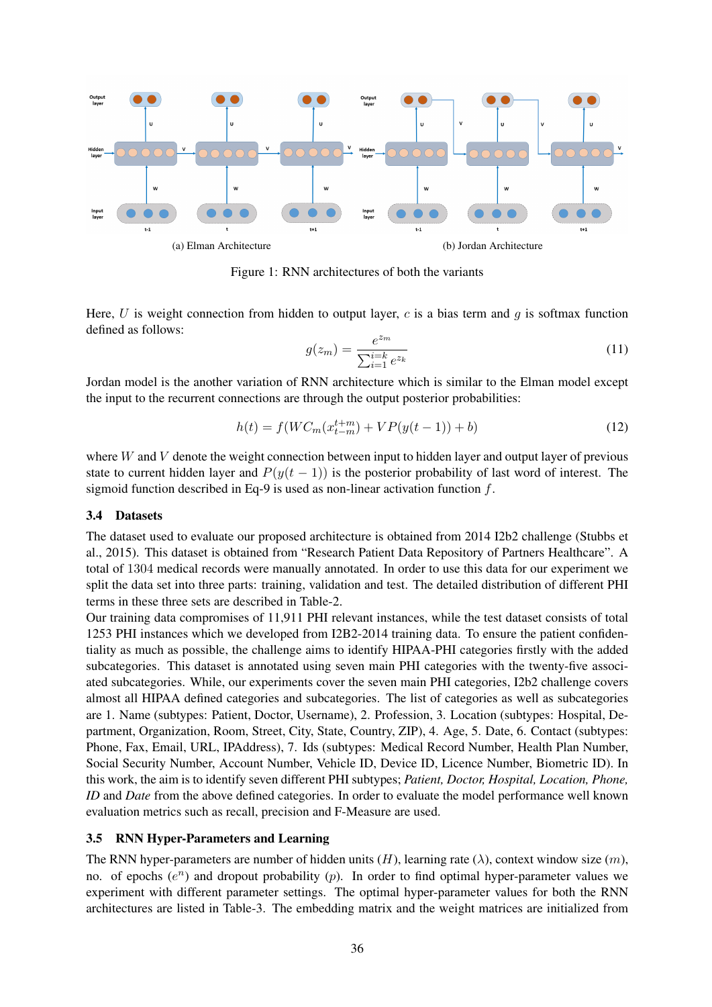

Figure 1: RNN architectures of both the variants

Here, U is weight connection from hidden to output layer, c is a bias term and  $g$  is softmax function defined as follows:

$$
g(z_m) = \frac{e^{z_m}}{\sum_{i=1}^{i=k} e^{z_k}}
$$
 (11)

Jordan model is the another variation of RNN architecture which is similar to the Elman model except the input to the recurrent connections are through the output posterior probabilities:

$$
h(t) = f(WC_m(x_{t-m}^{t+m}) + VP(y(t-1)) + b)
$$
\n(12)

where  $W$  and  $V$  denote the weight connection between input to hidden layer and output layer of previous state to current hidden layer and  $P(y(t - 1))$  is the posterior probability of last word of interest. The sigmoid function described in Eq-9 is used as non-linear activation function  $f$ .

#### 3.4 Datasets

The dataset used to evaluate our proposed architecture is obtained from 2014 I2b2 challenge (Stubbs et al., 2015). This dataset is obtained from "Research Patient Data Repository of Partners Healthcare". A total of 1304 medical records were manually annotated. In order to use this data for our experiment we split the data set into three parts: training, validation and test. The detailed distribution of different PHI terms in these three sets are described in Table-2.

Our training data compromises of 11,911 PHI relevant instances, while the test dataset consists of total 1253 PHI instances which we developed from I2B2-2014 training data. To ensure the patient confidentiality as much as possible, the challenge aims to identify HIPAA-PHI categories firstly with the added subcategories. This dataset is annotated using seven main PHI categories with the twenty-five associated subcategories. While, our experiments cover the seven main PHI categories, I2b2 challenge covers almost all HIPAA defined categories and subcategories. The list of categories as well as subcategories are 1. Name (subtypes: Patient, Doctor, Username), 2. Profession, 3. Location (subtypes: Hospital, Department, Organization, Room, Street, City, State, Country, ZIP), 4. Age, 5. Date, 6. Contact (subtypes: Phone, Fax, Email, URL, IPAddress), 7. Ids (subtypes: Medical Record Number, Health Plan Number, Social Security Number, Account Number, Vehicle ID, Device ID, Licence Number, Biometric ID). In this work, the aim is to identify seven different PHI subtypes; *Patient, Doctor, Hospital, Location, Phone, ID* and *Date* from the above defined categories. In order to evaluate the model performance well known evaluation metrics such as recall, precision and F-Measure are used.

### 3.5 RNN Hyper-Parameters and Learning

The RNN hyper-parameters are number of hidden units  $(H)$ , learning rate  $(\lambda)$ , context window size  $(m)$ , no. of epochs  $(e^n)$  and dropout probability  $(p)$ . In order to find optimal hyper-parameter values we experiment with different parameter settings. The optimal hyper-parameter values for both the RNN architectures are listed in Table-3. The embedding matrix and the weight matrices are initialized from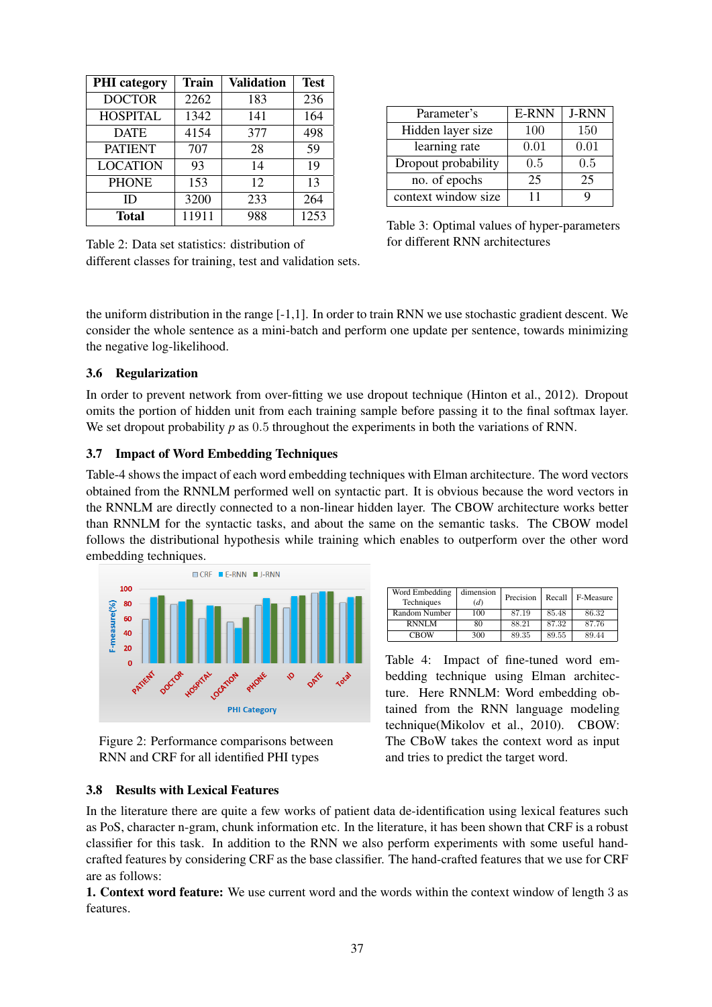| <b>PHI</b> category | <b>Train</b> | <b>Validation</b> | <b>Test</b> |  |
|---------------------|--------------|-------------------|-------------|--|
| <b>DOCTOR</b>       | 2262         | 183               | 236         |  |
| <b>HOSPITAL</b>     | 1342         | 141               | 164         |  |
| <b>DATE</b>         | 4154         | 377               | 498         |  |
| <b>PATIENT</b>      | 707          | 28                | 59          |  |
| <b>LOCATION</b>     | 93           | 14                | 19          |  |
| <b>PHONE</b>        | 153          | 12                | 13          |  |
| ID                  | 3200         | 233               | 264         |  |
| Total               | 11911        | 988               | 1253        |  |

| Parameter's         | E-RNN | <b>J-RNN</b> |  |  |
|---------------------|-------|--------------|--|--|
| Hidden layer size   | 100   | 150          |  |  |
| learning rate       | 0.01  | 0.01         |  |  |
| Dropout probability | 0.5   | 0.5          |  |  |
| no. of epochs       | 25    | 25           |  |  |
| context window size | 11    |              |  |  |

Table 3: Optimal values of hyper-parameters for different RNN architectures

Table 2: Data set statistics: distribution of different classes for training, test and validation sets.

the uniform distribution in the range [-1,1]. In order to train RNN we use stochastic gradient descent. We consider the whole sentence as a mini-batch and perform one update per sentence, towards minimizing the negative log-likelihood.

## 3.6 Regularization

In order to prevent network from over-fitting we use dropout technique (Hinton et al., 2012). Dropout omits the portion of hidden unit from each training sample before passing it to the final softmax layer. We set dropout probability *p* as 0.5 throughout the experiments in both the variations of RNN.

## 3.7 Impact of Word Embedding Techniques

Table-4 shows the impact of each word embedding techniques with Elman architecture. The word vectors obtained from the RNNLM performed well on syntactic part. It is obvious because the word vectors in the RNNLM are directly connected to a non-linear hidden layer. The CBOW architecture works better than RNNLM for the syntactic tasks, and about the same on the semantic tasks. The CBOW model follows the distributional hypothesis while training which enables to outperform over the other word embedding techniques.



Figure 2: Performance comparisons between RNN and CRF for all identified PHI types

3.8 Results with Lexical Features

| Word Embedding<br>Techniques | dimension<br>(d) | Precision | Recall | F-Measure |  |
|------------------------------|------------------|-----------|--------|-----------|--|
| Random Number                | 100              | 87.19     | 85.48  | 86.32     |  |
| <b>RNNLM</b>                 | 80               | 88.21     | 87.32  | 87.76     |  |
| <b>CBOW</b>                  | 300              | 89.35     | 89.55  | 89.44     |  |

Table 4: Impact of fine-tuned word embedding technique using Elman architecture. Here RNNLM: Word embedding obtained from the RNN language modeling technique(Mikolov et al., 2010). CBOW: The CBoW takes the context word as input and tries to predict the target word.

In the literature there are quite a few works of patient data de-identification using lexical features such as PoS, character n-gram, chunk information etc. In the literature, it has been shown that CRF is a robust classifier for this task. In addition to the RNN we also perform experiments with some useful handcrafted features by considering CRF as the base classifier. The hand-crafted features that we use for CRF are as follows:

1. Context word feature: We use current word and the words within the context window of length 3 as features.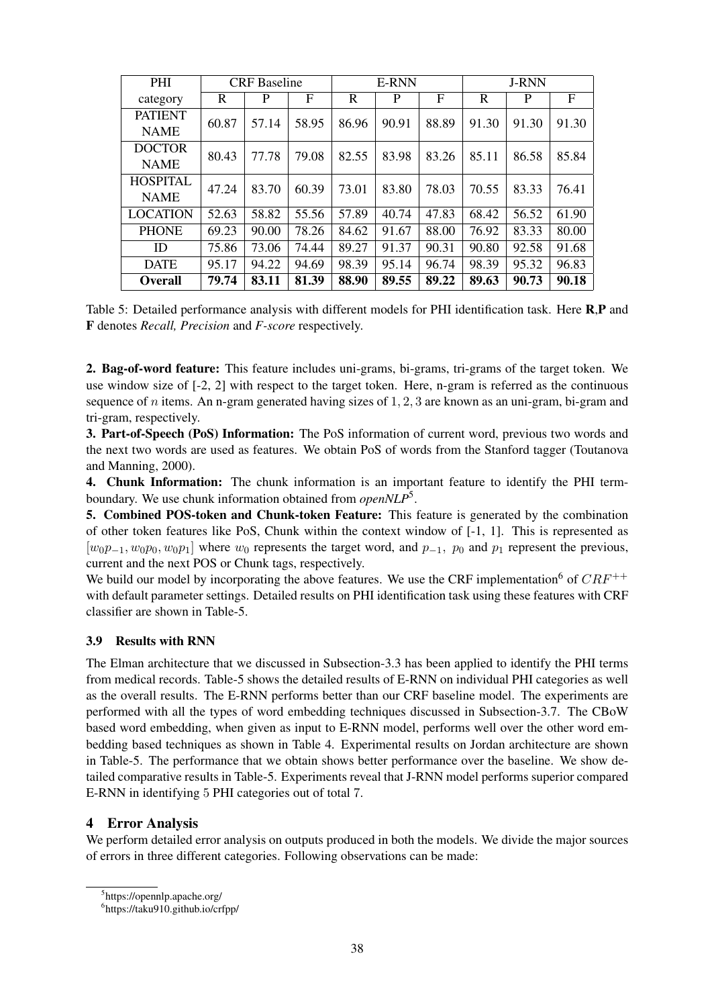| <b>PHI</b>      | <b>CRF</b> Baseline |       |       | <b>E-RNN</b> |       |       | <b>J-RNN</b> |       |       |       |
|-----------------|---------------------|-------|-------|--------------|-------|-------|--------------|-------|-------|-------|
| category        | R                   | P     | F     | R            | P     | F     | R            | P     | F     |       |
| <b>PATIENT</b>  | 60.87               | 57.14 | 58.95 | 86.96        | 90.91 | 88.89 | 91.30        | 91.30 | 91.30 |       |
| <b>NAME</b>     |                     |       |       |              |       |       |              |       |       |       |
| <b>DOCTOR</b>   | 80.43               | 77.78 | 79.08 | 82.55        | 83.98 | 83.26 | 85.11        | 86.58 | 85.84 |       |
| <b>NAME</b>     |                     |       |       |              |       |       |              |       |       |       |
| <b>HOSPITAL</b> | 47.24               |       | 83.70 | 60.39        | 73.01 | 83.80 | 78.03        | 70.55 | 83.33 | 76.41 |
| <b>NAME</b>     |                     |       |       |              |       |       |              |       |       |       |
| <b>LOCATION</b> | 52.63               | 58.82 | 55.56 | 57.89        | 40.74 | 47.83 | 68.42        | 56.52 | 61.90 |       |
| <b>PHONE</b>    | 69.23               | 90.00 | 78.26 | 84.62        | 91.67 | 88.00 | 76.92        | 83.33 | 80.00 |       |
| ID              | 75.86               | 73.06 | 74.44 | 89.27        | 91.37 | 90.31 | 90.80        | 92.58 | 91.68 |       |
| <b>DATE</b>     | 95.17               | 94.22 | 94.69 | 98.39        | 95.14 | 96.74 | 98.39        | 95.32 | 96.83 |       |
| <b>Overall</b>  | 79.74               | 83.11 | 81.39 | 88.90        | 89.55 | 89.22 | 89.63        | 90.73 | 90.18 |       |

Table 5: Detailed performance analysis with different models for PHI identification task. Here R,P and F denotes *Recall, Precision* and *F-score* respectively.

2. Bag-of-word feature: This feature includes uni-grams, bi-grams, tri-grams of the target token. We use window size of [-2, 2] with respect to the target token. Here, n-gram is referred as the continuous sequence of n items. An n-gram generated having sizes of 1, 2, 3 are known as an uni-gram, bi-gram and tri-gram, respectively.

3. Part-of-Speech (PoS) Information: The PoS information of current word, previous two words and the next two words are used as features. We obtain PoS of words from the Stanford tagger (Toutanova and Manning, 2000).

4. Chunk Information: The chunk information is an important feature to identify the PHI termboundary. We use chunk information obtained from *openNLP*<sup>5</sup> .

5. Combined POS-token and Chunk-token Feature: This feature is generated by the combination of other token features like PoS, Chunk within the context window of [-1, 1]. This is represented as  $[w_0p_{-1}, w_0p_0, w_0p_1]$  where  $w_0$  represents the target word, and  $p_{-1}$ ,  $p_0$  and  $p_1$  represent the previous, current and the next POS or Chunk tags, respectively.

We build our model by incorporating the above features. We use the CRF implementation<sup>6</sup> of  $CRF^{++}$ with default parameter settings. Detailed results on PHI identification task using these features with CRF classifier are shown in Table-5.

## 3.9 Results with RNN

The Elman architecture that we discussed in Subsection-3.3 has been applied to identify the PHI terms from medical records. Table-5 shows the detailed results of E-RNN on individual PHI categories as well as the overall results. The E-RNN performs better than our CRF baseline model. The experiments are performed with all the types of word embedding techniques discussed in Subsection-3.7. The CBoW based word embedding, when given as input to E-RNN model, performs well over the other word embedding based techniques as shown in Table 4. Experimental results on Jordan architecture are shown in Table-5. The performance that we obtain shows better performance over the baseline. We show detailed comparative results in Table-5. Experiments reveal that J-RNN model performs superior compared E-RNN in identifying 5 PHI categories out of total 7.

## 4 Error Analysis

We perform detailed error analysis on outputs produced in both the models. We divide the major sources of errors in three different categories. Following observations can be made:

<sup>5</sup> https://opennlp.apache.org/

<sup>6</sup> https://taku910.github.io/crfpp/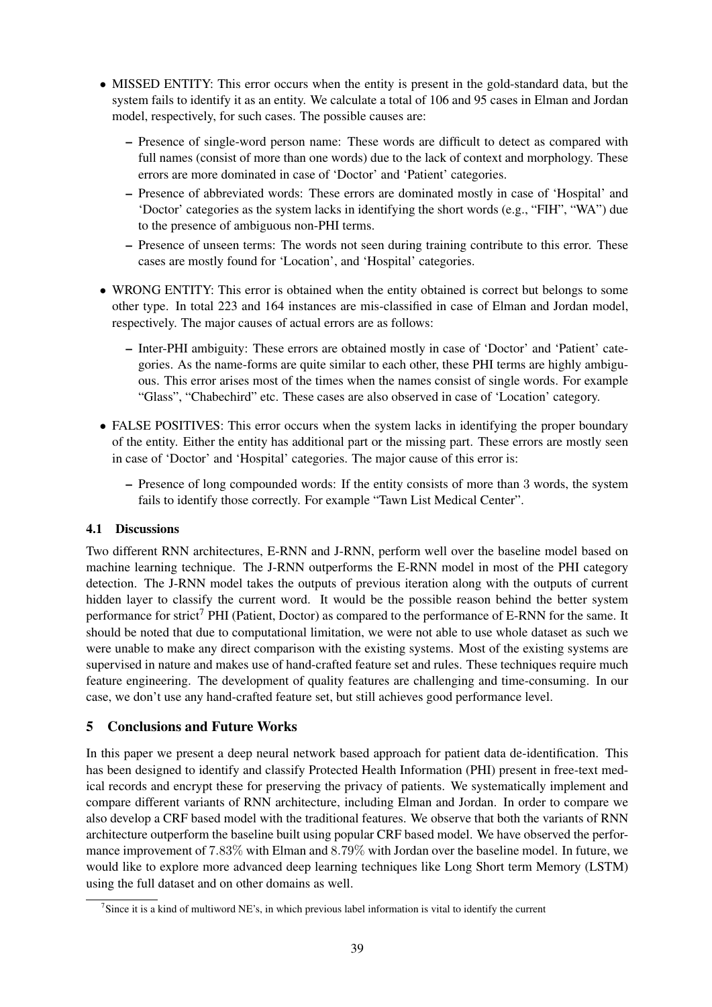- MISSED ENTITY: This error occurs when the entity is present in the gold-standard data, but the system fails to identify it as an entity. We calculate a total of 106 and 95 cases in Elman and Jordan model, respectively, for such cases. The possible causes are:
	- Presence of single-word person name: These words are difficult to detect as compared with full names (consist of more than one words) due to the lack of context and morphology. These errors are more dominated in case of 'Doctor' and 'Patient' categories.
	- Presence of abbreviated words: These errors are dominated mostly in case of 'Hospital' and 'Doctor' categories as the system lacks in identifying the short words (e.g., "FIH", "WA") due to the presence of ambiguous non-PHI terms.
	- Presence of unseen terms: The words not seen during training contribute to this error. These cases are mostly found for 'Location', and 'Hospital' categories.
- WRONG ENTITY: This error is obtained when the entity obtained is correct but belongs to some other type. In total 223 and 164 instances are mis-classified in case of Elman and Jordan model, respectively. The major causes of actual errors are as follows:
	- Inter-PHI ambiguity: These errors are obtained mostly in case of 'Doctor' and 'Patient' categories. As the name-forms are quite similar to each other, these PHI terms are highly ambiguous. This error arises most of the times when the names consist of single words. For example "Glass", "Chabechird" etc. These cases are also observed in case of 'Location' category.
- FALSE POSITIVES: This error occurs when the system lacks in identifying the proper boundary of the entity. Either the entity has additional part or the missing part. These errors are mostly seen in case of 'Doctor' and 'Hospital' categories. The major cause of this error is:
	- Presence of long compounded words: If the entity consists of more than 3 words, the system fails to identify those correctly. For example "Tawn List Medical Center".

## 4.1 Discussions

Two different RNN architectures, E-RNN and J-RNN, perform well over the baseline model based on machine learning technique. The J-RNN outperforms the E-RNN model in most of the PHI category detection. The J-RNN model takes the outputs of previous iteration along with the outputs of current hidden layer to classify the current word. It would be the possible reason behind the better system performance for strict<sup>7</sup> PHI (Patient, Doctor) as compared to the performance of E-RNN for the same. It should be noted that due to computational limitation, we were not able to use whole dataset as such we were unable to make any direct comparison with the existing systems. Most of the existing systems are supervised in nature and makes use of hand-crafted feature set and rules. These techniques require much feature engineering. The development of quality features are challenging and time-consuming. In our case, we don't use any hand-crafted feature set, but still achieves good performance level.

## 5 Conclusions and Future Works

In this paper we present a deep neural network based approach for patient data de-identification. This has been designed to identify and classify Protected Health Information (PHI) present in free-text medical records and encrypt these for preserving the privacy of patients. We systematically implement and compare different variants of RNN architecture, including Elman and Jordan. In order to compare we also develop a CRF based model with the traditional features. We observe that both the variants of RNN architecture outperform the baseline built using popular CRF based model. We have observed the performance improvement of 7.83% with Elman and 8.79% with Jordan over the baseline model. In future, we would like to explore more advanced deep learning techniques like Long Short term Memory (LSTM) using the full dataset and on other domains as well.

<sup>&</sup>lt;sup>7</sup>Since it is a kind of multiword NE's, in which previous label information is vital to identify the current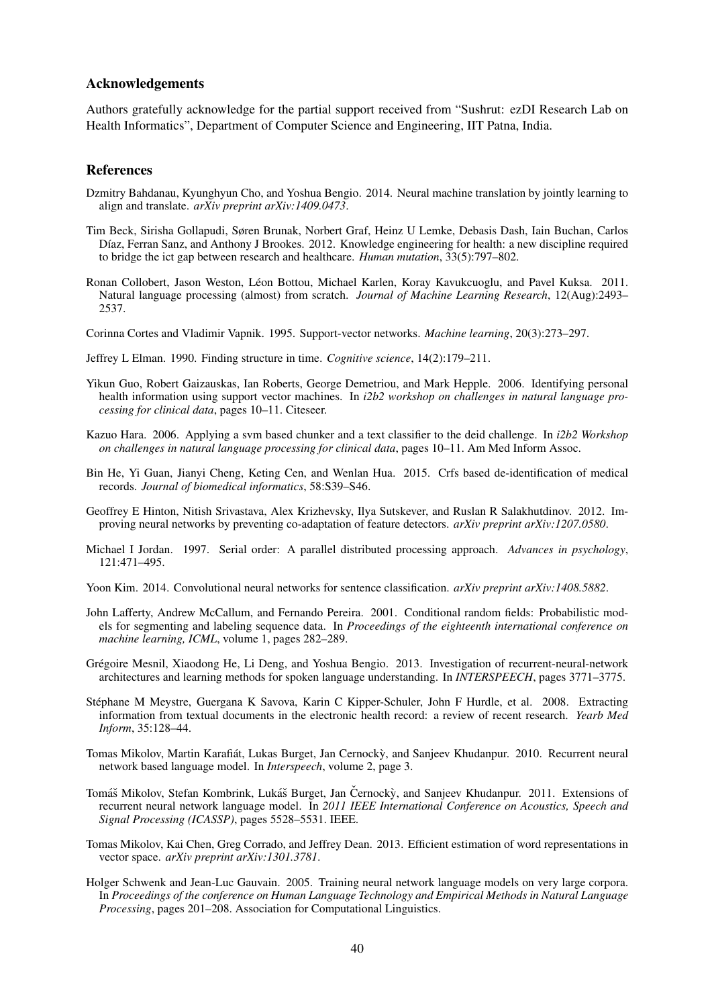#### Acknowledgements

Authors gratefully acknowledge for the partial support received from "Sushrut: ezDI Research Lab on Health Informatics", Department of Computer Science and Engineering, IIT Patna, India.

#### References

- Dzmitry Bahdanau, Kyunghyun Cho, and Yoshua Bengio. 2014. Neural machine translation by jointly learning to align and translate. *arXiv preprint arXiv:1409.0473*.
- Tim Beck, Sirisha Gollapudi, Søren Brunak, Norbert Graf, Heinz U Lemke, Debasis Dash, Iain Buchan, Carlos Díaz, Ferran Sanz, and Anthony J Brookes. 2012. Knowledge engineering for health: a new discipline required to bridge the ict gap between research and healthcare. *Human mutation*, 33(5):797–802.
- Ronan Collobert, Jason Weston, Leon Bottou, Michael Karlen, Koray Kavukcuoglu, and Pavel Kuksa. 2011. ´ Natural language processing (almost) from scratch. *Journal of Machine Learning Research*, 12(Aug):2493– 2537.

Corinna Cortes and Vladimir Vapnik. 1995. Support-vector networks. *Machine learning*, 20(3):273–297.

- Jeffrey L Elman. 1990. Finding structure in time. *Cognitive science*, 14(2):179–211.
- Yikun Guo, Robert Gaizauskas, Ian Roberts, George Demetriou, and Mark Hepple. 2006. Identifying personal health information using support vector machines. In *i2b2 workshop on challenges in natural language processing for clinical data*, pages 10–11. Citeseer.
- Kazuo Hara. 2006. Applying a svm based chunker and a text classifier to the deid challenge. In *i2b2 Workshop on challenges in natural language processing for clinical data*, pages 10–11. Am Med Inform Assoc.
- Bin He, Yi Guan, Jianyi Cheng, Keting Cen, and Wenlan Hua. 2015. Crfs based de-identification of medical records. *Journal of biomedical informatics*, 58:S39–S46.
- Geoffrey E Hinton, Nitish Srivastava, Alex Krizhevsky, Ilya Sutskever, and Ruslan R Salakhutdinov. 2012. Improving neural networks by preventing co-adaptation of feature detectors. *arXiv preprint arXiv:1207.0580*.
- Michael I Jordan. 1997. Serial order: A parallel distributed processing approach. *Advances in psychology*, 121:471–495.
- Yoon Kim. 2014. Convolutional neural networks for sentence classification. *arXiv preprint arXiv:1408.5882*.
- John Lafferty, Andrew McCallum, and Fernando Pereira. 2001. Conditional random fields: Probabilistic models for segmenting and labeling sequence data. In *Proceedings of the eighteenth international conference on machine learning, ICML*, volume 1, pages 282–289.
- Grégoire Mesnil, Xiaodong He, Li Deng, and Yoshua Bengio. 2013. Investigation of recurrent-neural-network architectures and learning methods for spoken language understanding. In *INTERSPEECH*, pages 3771–3775.
- Stéphane M Meystre, Guergana K Savova, Karin C Kipper-Schuler, John F Hurdle, et al. 2008. Extracting information from textual documents in the electronic health record: a review of recent research. *Yearb Med Inform*, 35:128–44.
- Tomas Mikolov, Martin Karafiát, Lukas Burget, Jan Cernocky, and Sanjeev Khudanpur. 2010. Recurrent neural network based language model. In *Interspeech*, volume 2, page 3.
- Tomáš Mikolov, Stefan Kombrink, Lukáš Burget, Jan Černockỳ, and Sanjeev Khudanpur. 2011. Extensions of recurrent neural network language model. In *2011 IEEE International Conference on Acoustics, Speech and Signal Processing (ICASSP)*, pages 5528–5531. IEEE.
- Tomas Mikolov, Kai Chen, Greg Corrado, and Jeffrey Dean. 2013. Efficient estimation of word representations in vector space. *arXiv preprint arXiv:1301.3781*.
- Holger Schwenk and Jean-Luc Gauvain. 2005. Training neural network language models on very large corpora. In *Proceedings of the conference on Human Language Technology and Empirical Methods in Natural Language Processing*, pages 201–208. Association for Computational Linguistics.